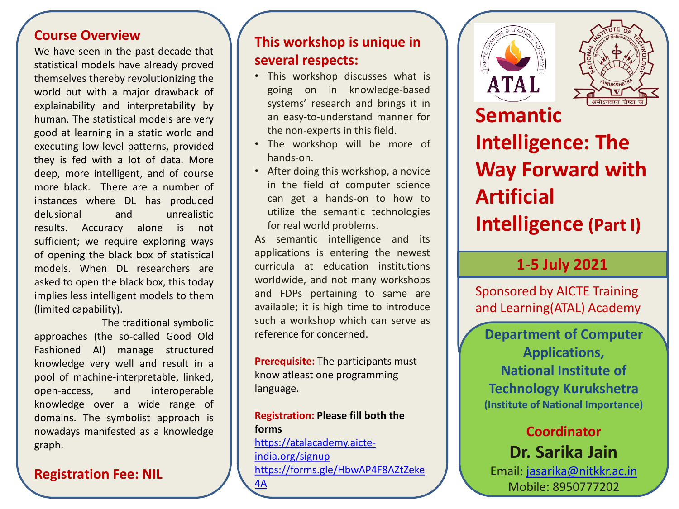### **Course Overview**

We have seen in the past decade that statistical models have already proved themselves thereby revolutionizing the world but with a major drawback of explainability and interpretability by human. The statistical models are very good at learning in a static world and executing low-level patterns, provided they is fed with a lot of data. More deep, more intelligent, and of course more black. There are a number of instances where DL has produced delusional and unrealistic results. Accuracy alone is not sufficient; we require exploring ways of opening the black box of statistical models. When DL researchers are asked to open the black box, this today implies less intelligent models to them (limited capability).

The traditional symbolic approaches (the so-called Good Old Fashioned AI) manage structured knowledge very well and result in a pool of machine-interpretable, linked, open-access, and interoperable knowledge over a wide range of domains. The symbolist approach is nowadays manifested as a knowledge graph.

### **Registration Fee: NIL**

# **This workshop is unique in several respects:**

- This workshop discusses what is going on in knowledge-based systems' research and brings it in an easy-to-understand manner for the non-experts in this field.
- The workshop will be more of hands-on.
- After doing this workshop, a novice in the field of computer science can get a hands-on to how to utilize the semantic technologies for real world problems.

As semantic intelligence and its applications is entering the newest curricula at education institutions worldwide, and not many workshops and FDPs pertaining to same are available; it is high time to introduce such a workshop which can serve as reference for concerned.

**Prerequisite:** The participants must know atleast one programming language.

### **Registration: Please fill both the forms**

[https://atalacademy.aicte](https://atalacademy.aicte-india.org/signup)[india.org/signup](https://atalacademy.aicte-india.org/signup) [https://forms.gle/HbwAP4F8AZtZeke](https://forms.gle/HbwAP4F8AZtZeke4A) [4A](https://forms.gle/HbwAP4F8AZtZeke4A)





**Semantic Intelligence: The Way Forward with Artificial Intelligence (Part I)**

# **1-5 July 2021**

Sponsored by AICTE Training and Learning(ATAL) Academy

**Department of Computer Applications, National Institute of Technology Kurukshetra (Institute of National Importance)**

# **Coordinator Dr. Sarika Jain**

Email: [jasarika@nitkkr.ac.in](mailto:jasarika@nitkkr.ac.in) Mobile: 8950777202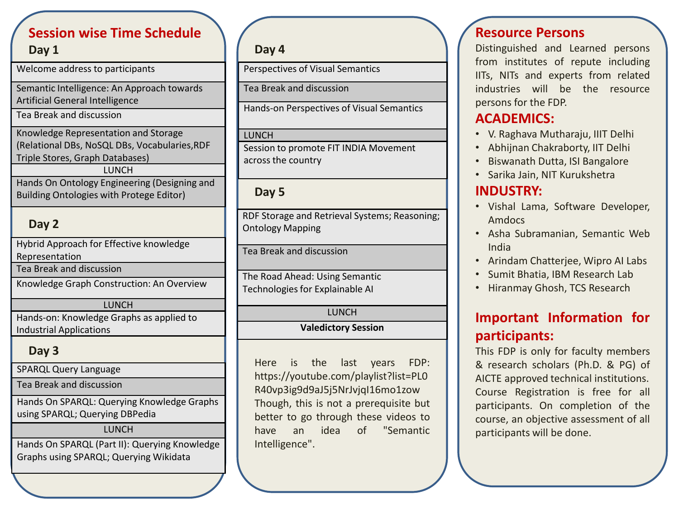# **Session wise Time Schedule**

**Day 1**

Welcome address to participants

Semantic Intelligence: An Approach towards Artificial General Intelligence

Tea Break and discussion

Knowledge Representation and Storage (Relational DBs, NoSQL DBs, Vocabularies,RDF Triple Stores, Graph Databases) LUNCH Hands On Ontology Engineering (Designing and

Building Ontologies with Protege Editor)

## **Day 2**

Hybrid Approach for Effective knowledge Representation Tea Break and discussion

Knowledge Graph Construction: An Overview

#### **LUNCH**

Hands-on: Knowledge Graphs as applied to Industrial Applications

### **Day 3**

SPARQL Query Language

Tea Break and discussion

Hands On SPARQL: Querying Knowledge Graphs using SPARQL; Querying DBPedia

#### LUNCH

Hands On SPARQL (Part II): Querying Knowledge Graphs using SPARQL; Querying Wikidata

## **Day 4**

Perspectives of Visual Semantics

Tea Break and discussion

Hands-on Perspectives of Visual Semantics

#### LUNCH

Session to promote FIT INDIA Movement across the country

### **Day 5**

RDF Storage and Retrieval Systems; Reasoning; Ontology Mapping

Tea Break and discussion

The Road Ahead: Using Semantic Technologies for Explainable AI

#### LUNCH

#### **Valedictory Session**

Here is the last years FDP: https://youtube.com/playlist?list=PL0 R40vp3ig9d9aJ5j5NrJvjqI16mo1zow Though, this is not a prerequisite but better to go through these videos to have an idea of "Semantic Intelligence".

### **Resource Persons**

Distinguished and Learned persons from institutes of repute including IITs, NITs and experts from related industries will be the resource persons for the FDP.

## **ACADEMICS:**

- V. Raghava Mutharaju, IIIT Delhi
- Abhijnan Chakraborty, IIT Delhi
- Biswanath Dutta, ISI Bangalore
- Sarika Jain, NIT Kurukshetra

# **INDUSTRY:**

- Vishal Lama, Software Developer, Amdocs
- Asha Subramanian, Semantic Web India
- Arindam Chatterjee, Wipro AI Labs
- Sumit Bhatia, IBM Research Lab
- Hiranmay Ghosh, TCS Research

# **Important Information for participants:**

This FDP is only for faculty members & research scholars (Ph.D. & PG) of AICTE approved technical institutions. Course Registration is free for all participants. On completion of the course, an objective assessment of all participants will be done.